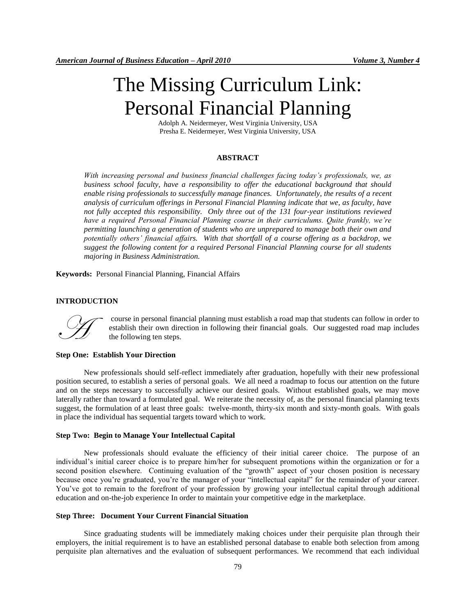# The Missing Curriculum Link: Personal Financial Planning

Adolph A. Neidermeyer, West Virginia University, USA Presha E. Neidermeyer, West Virginia University, USA

## **ABSTRACT**

*With increasing personal and business financial challenges facing today's professionals, we, as business school faculty, have a responsibility to offer the educational background that should enable rising professionals to successfully manage finances. Unfortunately, the results of a recent analysis of curriculum offerings in Personal Financial Planning indicate that we, as faculty, have not fully accepted this responsibility. Only three out of the 131 four-year institutions reviewed have a required Personal Financial Planning course in their curriculums. Quite frankly, we're permitting launching a generation of students who are unprepared to manage both their own and potentially others' financial affairs. With that shortfall of a course offering as a backdrop, we suggest the following content for a required Personal Financial Planning course for all students majoring in Business Administration.*

**Keywords:** Personal Financial Planning, Financial Affairs

## **INTRODUCTION**



course in personal financial planning must establish a road map that students can follow in order to establish their own direction in following their financial goals. Our suggested road map includes the following ten steps.

# **Step One: Establish Your Direction**

New professionals should self-reflect immediately after graduation, hopefully with their new professional position secured, to establish a series of personal goals. We all need a roadmap to focus our attention on the future and on the steps necessary to successfully achieve our desired goals. Without established goals, we may move laterally rather than toward a formulated goal. We reiterate the necessity of, as the personal financial planning texts suggest, the formulation of at least three goals: twelve-month, thirty-six month and sixty-month goals. With goals in place the individual has sequential targets toward which to work.

# **Step Two: Begin to Manage Your Intellectual Capital**

New professionals should evaluate the efficiency of their initial career choice. The purpose of an individual's initial career choice is to prepare him/her for subsequent promotions within the organization or for a second position elsewhere. Continuing evaluation of the "growth" aspect of your chosen position is necessary because once you're graduated, you're the manager of your "intellectual capital" for the remainder of your career. You've got to remain to the forefront of your profession by growing your intellectual capital through additional education and on-the-job experience In order to maintain your competitive edge in the marketplace.

#### **Step Three: Document Your Current Financial Situation**

Since graduating students will be immediately making choices under their perquisite plan through their employers, the initial requirement is to have an established personal database to enable both selection from among perquisite plan alternatives and the evaluation of subsequent performances. We recommend that each individual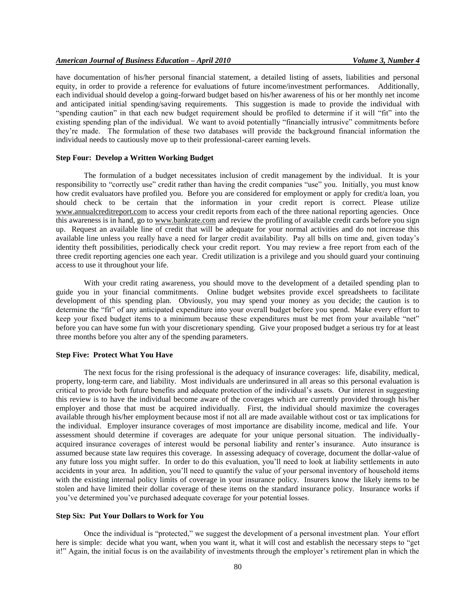have documentation of his/her personal financial statement, a detailed listing of assets, liabilities and personal equity, in order to provide a reference for evaluations of future income/investment performances. Additionally, each individual should develop a going-forward budget based on his/her awareness of his or her monthly net income and anticipated initial spending/saving requirements. This suggestion is made to provide the individual with "spending caution" in that each new budget requirement should be profiled to determine if it will "fit" into the existing spending plan of the individual. We want to avoid potentially "financially intrusive" commitments before they're made. The formulation of these two databases will provide the background financial information the individual needs to cautiously move up to their professional-career earning levels.

# **Step Four: Develop a Written Working Budget**

The formulation of a budget necessitates inclusion of credit management by the individual. It is your responsibility to "correctly use" credit rather than having the credit companies "use" you. Initially, you must know how credit evaluators have profiled you. Before you are considered for employment or apply for credit/a loan, you should check to be certain that the information in your credit report is correct. Please utilize [www.annualcreditreport.com](http://www.annualcreditreport.com/) to access your credit reports from each of the three national reporting agencies. Once this awareness is in hand, go to [www.bankrate.com](http://www.bankrate.com/) and review the profiling of available credit cards before you sign up. Request an available line of credit that will be adequate for your normal activities and do not increase this available line unless you really have a need for larger credit availability. Pay all bills on time and, given today's identity theft possibilities, periodically check your credit report. You may review a free report from each of the three credit reporting agencies one each year. Credit utilization is a privilege and you should guard your continuing access to use it throughout your life.

With your credit rating awareness, you should move to the development of a detailed spending plan to guide you in your financial commitments. Online budget websites provide excel spreadsheets to facilitate development of this spending plan. Obviously, you may spend your money as you decide; the caution is to determine the "fit" of any anticipated expenditure into your overall budget before you spend. Make every effort to keep your fixed budget items to a minimum because these expenditures must be met from your available "net" before you can have some fun with your discretionary spending. Give your proposed budget a serious try for at least three months before you alter any of the spending parameters.

## **Step Five: Protect What You Have**

The next focus for the rising professional is the adequacy of insurance coverages: life, disability, medical, property, long-term care, and liability. Most individuals are underinsured in all areas so this personal evaluation is critical to provide both future benefits and adequate protection of the individual's assets. Our interest in suggesting this review is to have the individual become aware of the coverages which are currently provided through his/her employer and those that must be acquired individually. First, the individual should maximize the coverages available through his/her employment because most if not all are made available without cost or tax implications for the individual. Employer insurance coverages of most importance are disability income, medical and life. Your assessment should determine if coverages are adequate for your unique personal situation. The individuallyacquired insurance coverages of interest would be personal liability and renter's insurance. Auto insurance is assumed because state law requires this coverage. In assessing adequacy of coverage, document the dollar-value of any future loss you might suffer. In order to do this evaluation, you'll need to look at liability settlements in auto accidents in your area. In addition, you'll need to quantify the value of your personal inventory of household items with the existing internal policy limits of coverage in your insurance policy. Insurers know the likely items to be stolen and have limited their dollar coverage of these items on the standard insurance policy. Insurance works if you've determined you've purchased adequate coverage for your potential losses.

#### **Step Six: Put Your Dollars to Work for You**

Once the individual is "protected," we suggest the development of a personal investment plan. Your effort here is simple: decide what you want, when you want it, what it will cost and establish the necessary steps to "get it!" Again, the initial focus is on the availability of investments through the employer's retirement plan in which the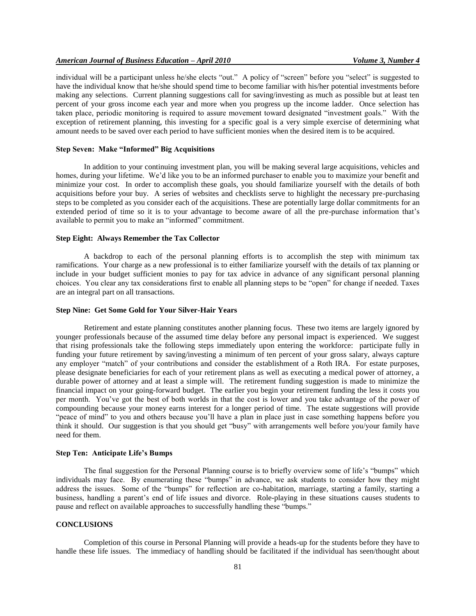individual will be a participant unless he/she elects "out." A policy of "screen" before you "select" is suggested to have the individual know that he/she should spend time to become familiar with his/her potential investments before making any selections. Current planning suggestions call for saving/investing as much as possible but at least ten percent of your gross income each year and more when you progress up the income ladder. Once selection has taken place, periodic monitoring is required to assure movement toward designated "investment goals." With the exception of retirement planning, this investing for a specific goal is a very simple exercise of determining what amount needs to be saved over each period to have sufficient monies when the desired item is to be acquired.

# **Step Seven: Make "Informed" Big Acquisitions**

In addition to your continuing investment plan, you will be making several large acquisitions, vehicles and homes, during your lifetime. We'd like you to be an informed purchaser to enable you to maximize your benefit and minimize your cost. In order to accomplish these goals, you should familiarize yourself with the details of both acquisitions before your buy. A series of websites and checklists serve to highlight the necessary pre-purchasing steps to be completed as you consider each of the acquisitions. These are potentially large dollar commitments for an extended period of time so it is to your advantage to become aware of all the pre-purchase information that's available to permit you to make an "informed" commitment.

## **Step Eight: Always Remember the Tax Collector**

A backdrop to each of the personal planning efforts is to accomplish the step with minimum tax ramifications. Your charge as a new professional is to either familiarize yourself with the details of tax planning or include in your budget sufficient monies to pay for tax advice in advance of any significant personal planning choices. You clear any tax considerations first to enable all planning steps to be "open" for change if needed. Taxes are an integral part on all transactions.

#### **Step Nine: Get Some Gold for Your Silver-Hair Years**

Retirement and estate planning constitutes another planning focus. These two items are largely ignored by younger professionals because of the assumed time delay before any personal impact is experienced. We suggest that rising professionals take the following steps immediately upon entering the workforce: participate fully in funding your future retirement by saving/investing a minimum of ten percent of your gross salary, always capture any employer "match" of your contributions and consider the establishment of a Roth IRA. For estate purposes, please designate beneficiaries for each of your retirement plans as well as executing a medical power of attorney, a durable power of attorney and at least a simple will. The retirement funding suggestion is made to minimize the financial impact on your going-forward budget. The earlier you begin your retirement funding the less it costs you per month. You've got the best of both worlds in that the cost is lower and you take advantage of the power of compounding because your money earns interest for a longer period of time. The estate suggestions will provide "peace of mind" to you and others because you'll have a plan in place just in case something happens before you think it should. Our suggestion is that you should get "busy" with arrangements well before you/your family have need for them.

#### **Step Ten: Anticipate Life's Bumps**

The final suggestion for the Personal Planning course is to briefly overview some of life's "bumps" which individuals may face. By enumerating these "bumps" in advance, we ask students to consider how they might address the issues. Some of the "bumps" for reflection are co-habitation, marriage, starting a family, starting a business, handling a parent's end of life issues and divorce. Role-playing in these situations causes students to pause and reflect on available approaches to successfully handling these "bumps."

# **CONCLUSIONS**

Completion of this course in Personal Planning will provide a heads-up for the students before they have to handle these life issues. The immediacy of handling should be facilitated if the individual has seen/thought about